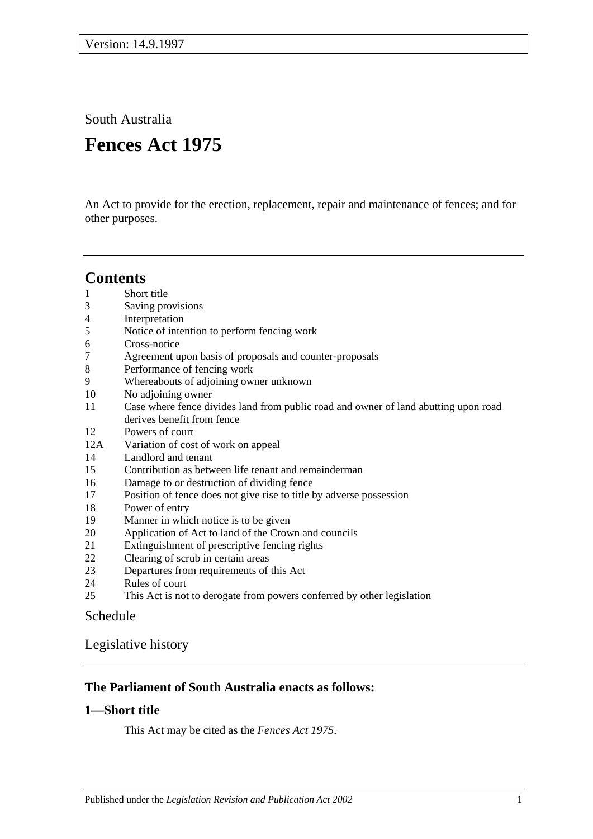South Australia

# **Fences Act 1975**

An Act to provide for the erection, replacement, repair and maintenance of fences; and for other purposes.

# **Contents**

- [Short title](#page-0-0)
- [Saving provisions](#page-1-0)
- [Interpretation](#page-1-1)
- [Notice of intention to perform fencing work](#page-2-0)
- [Cross-notice](#page-3-0)
- [Agreement upon basis of proposals and counter-proposals](#page-3-1)
- [Performance of fencing work](#page-3-2)
- [Whereabouts of adjoining owner unknown](#page-4-0)
- [No adjoining owner](#page-4-1)
- [Case where fence divides land from public road and owner of land abutting upon road](#page-5-0)  [derives benefit from fence](#page-5-0)
- [Powers of court](#page-5-1)
- 12A [Variation of cost of work on appeal](#page-7-0)
- [Landlord and tenant](#page-7-1)
- [Contribution as between life tenant and remainderman](#page-8-0)
- [Damage to or destruction of dividing fence](#page-8-1)
- [Position of fence does not give rise to title by adverse possession](#page-8-2)
- [Power of entry](#page-8-3)
- [Manner in which notice is to be given](#page-9-0)
- [Application of Act to land of the Crown and councils](#page-9-1)
- [Extinguishment of prescriptive fencing rights](#page-9-2)
- [Clearing of scrub in certain areas](#page-9-3)
- [Departures from requirements of this Act](#page-9-4)
- [Rules of court](#page-10-0)
- [This Act is not to derogate from powers conferred by other legislation](#page-10-1)

# [Schedule](#page-11-0)

[Legislative history](#page-13-0)

# **The Parliament of South Australia enacts as follows:**

# <span id="page-0-0"></span>**1—Short title**

This Act may be cited as the *Fences Act 1975*.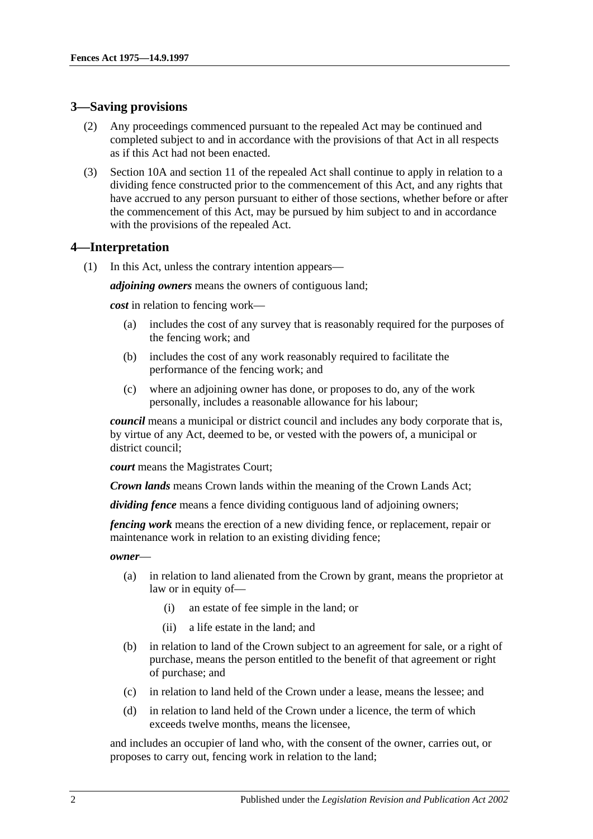## <span id="page-1-0"></span>**3—Saving provisions**

- (2) Any proceedings commenced pursuant to the repealed Act may be continued and completed subject to and in accordance with the provisions of that Act in all respects as if this Act had not been enacted.
- (3) Section 10A and section 11 of the repealed Act shall continue to apply in relation to a dividing fence constructed prior to the commencement of this Act, and any rights that have accrued to any person pursuant to either of those sections, whether before or after the commencement of this Act, may be pursued by him subject to and in accordance with the provisions of the repealed Act.

### <span id="page-1-1"></span>**4—Interpretation**

(1) In this Act, unless the contrary intention appears—

*adjoining owners* means the owners of contiguous land;

*cost* in relation to fencing work—

- (a) includes the cost of any survey that is reasonably required for the purposes of the fencing work; and
- (b) includes the cost of any work reasonably required to facilitate the performance of the fencing work; and
- (c) where an adjoining owner has done, or proposes to do, any of the work personally, includes a reasonable allowance for his labour;

*council* means a municipal or district council and includes any body corporate that is, by virtue of any Act, deemed to be, or vested with the powers of, a municipal or district council;

*court* means the Magistrates Court;

*Crown lands* means Crown lands within the meaning of the Crown Lands Act;

*dividing fence* means a fence dividing contiguous land of adjoining owners;

*fencing work* means the erection of a new dividing fence, or replacement, repair or maintenance work in relation to an existing dividing fence;

*owner*—

- (a) in relation to land alienated from the Crown by grant, means the proprietor at law or in equity of—
	- (i) an estate of fee simple in the land; or
	- (ii) a life estate in the land; and
- (b) in relation to land of the Crown subject to an agreement for sale, or a right of purchase, means the person entitled to the benefit of that agreement or right of purchase; and
- (c) in relation to land held of the Crown under a lease, means the lessee; and
- (d) in relation to land held of the Crown under a licence, the term of which exceeds twelve months, means the licensee,

and includes an occupier of land who, with the consent of the owner, carries out, or proposes to carry out, fencing work in relation to the land;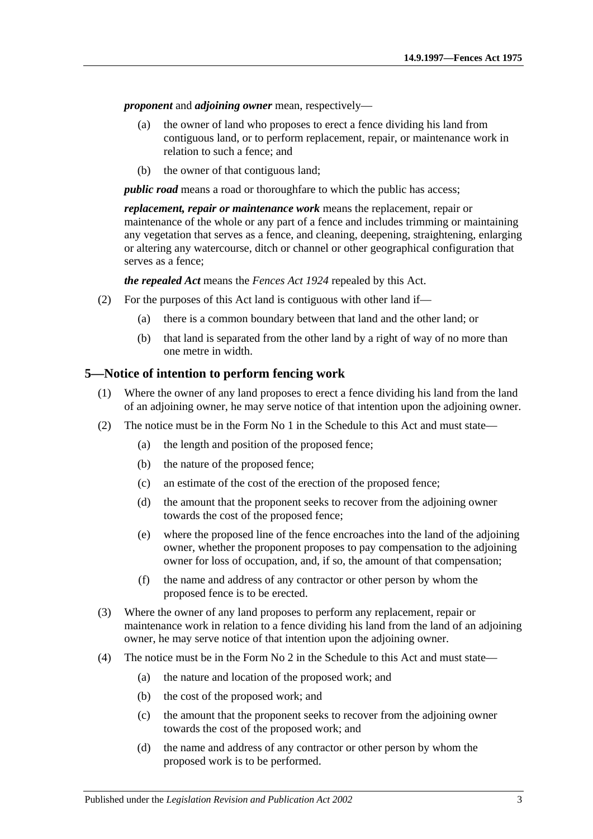*proponent* and *adjoining owner* mean, respectively—

- (a) the owner of land who proposes to erect a fence dividing his land from contiguous land, or to perform replacement, repair, or maintenance work in relation to such a fence; and
- (b) the owner of that contiguous land;

*public road* means a road or thoroughfare to which the public has access;

*replacement, repair or maintenance work* means the replacement, repair or maintenance of the whole or any part of a fence and includes trimming or maintaining any vegetation that serves as a fence, and cleaning, deepening, straightening, enlarging or altering any watercourse, ditch or channel or other geographical configuration that serves as a fence;

*the repealed Act* means the *[Fences Act](http://www.legislation.sa.gov.au/index.aspx?action=legref&type=act&legtitle=Fences%20Act%201924) 1924* repealed by this Act.

- (2) For the purposes of this Act land is contiguous with other land if—
	- (a) there is a common boundary between that land and the other land; or
	- (b) that land is separated from the other land by a right of way of no more than one metre in width.

### <span id="page-2-0"></span>**5—Notice of intention to perform fencing work**

- (1) Where the owner of any land proposes to erect a fence dividing his land from the land of an adjoining owner, he may serve notice of that intention upon the adjoining owner.
- (2) The notice must be in the Form No 1 in the [Schedule](#page-11-0) to this Act and must state—
	- (a) the length and position of the proposed fence;
	- (b) the nature of the proposed fence;
	- (c) an estimate of the cost of the erection of the proposed fence;
	- (d) the amount that the proponent seeks to recover from the adjoining owner towards the cost of the proposed fence;
	- (e) where the proposed line of the fence encroaches into the land of the adjoining owner, whether the proponent proposes to pay compensation to the adjoining owner for loss of occupation, and, if so, the amount of that compensation;
	- (f) the name and address of any contractor or other person by whom the proposed fence is to be erected.
- (3) Where the owner of any land proposes to perform any replacement, repair or maintenance work in relation to a fence dividing his land from the land of an adjoining owner, he may serve notice of that intention upon the adjoining owner.
- (4) The notice must be in the Form No 2 in the [Schedule](#page-11-0) to this Act and must state—
	- (a) the nature and location of the proposed work; and
	- (b) the cost of the proposed work; and
	- (c) the amount that the proponent seeks to recover from the adjoining owner towards the cost of the proposed work; and
	- (d) the name and address of any contractor or other person by whom the proposed work is to be performed.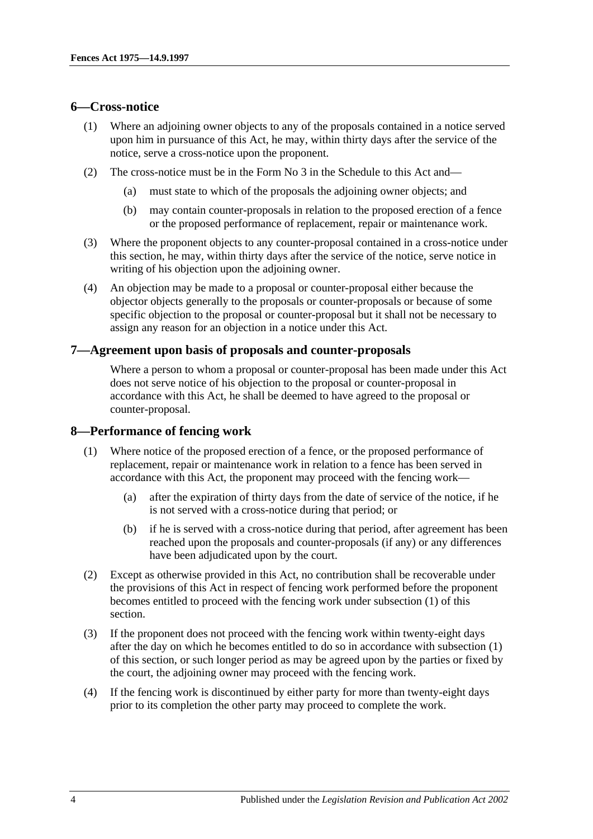#### <span id="page-3-0"></span>**6—Cross-notice**

- (1) Where an adjoining owner objects to any of the proposals contained in a notice served upon him in pursuance of this Act, he may, within thirty days after the service of the notice, serve a cross-notice upon the proponent.
- (2) The cross-notice must be in the Form No 3 in the [Schedule](#page-11-0) to this Act and—
	- (a) must state to which of the proposals the adjoining owner objects; and
	- (b) may contain counter-proposals in relation to the proposed erection of a fence or the proposed performance of replacement, repair or maintenance work.
- (3) Where the proponent objects to any counter-proposal contained in a cross-notice under this section, he may, within thirty days after the service of the notice, serve notice in writing of his objection upon the adjoining owner.
- (4) An objection may be made to a proposal or counter-proposal either because the objector objects generally to the proposals or counter-proposals or because of some specific objection to the proposal or counter-proposal but it shall not be necessary to assign any reason for an objection in a notice under this Act.

#### <span id="page-3-1"></span>**7—Agreement upon basis of proposals and counter-proposals**

Where a person to whom a proposal or counter-proposal has been made under this Act does not serve notice of his objection to the proposal or counter-proposal in accordance with this Act, he shall be deemed to have agreed to the proposal or counter-proposal.

## <span id="page-3-3"></span><span id="page-3-2"></span>**8—Performance of fencing work**

- (1) Where notice of the proposed erection of a fence, or the proposed performance of replacement, repair or maintenance work in relation to a fence has been served in accordance with this Act, the proponent may proceed with the fencing work—
	- (a) after the expiration of thirty days from the date of service of the notice, if he is not served with a cross-notice during that period; or
	- (b) if he is served with a cross-notice during that period, after agreement has been reached upon the proposals and counter-proposals (if any) or any differences have been adjudicated upon by the court.
- (2) Except as otherwise provided in this Act, no contribution shall be recoverable under the provisions of this Act in respect of fencing work performed before the proponent becomes entitled to proceed with the fencing work under [subsection](#page-3-3) (1) of this section.
- (3) If the proponent does not proceed with the fencing work within twenty-eight days after the day on which he becomes entitled to do so in accordance with [subsection](#page-3-3) (1) of this section, or such longer period as may be agreed upon by the parties or fixed by the court, the adjoining owner may proceed with the fencing work.
- (4) If the fencing work is discontinued by either party for more than twenty-eight days prior to its completion the other party may proceed to complete the work.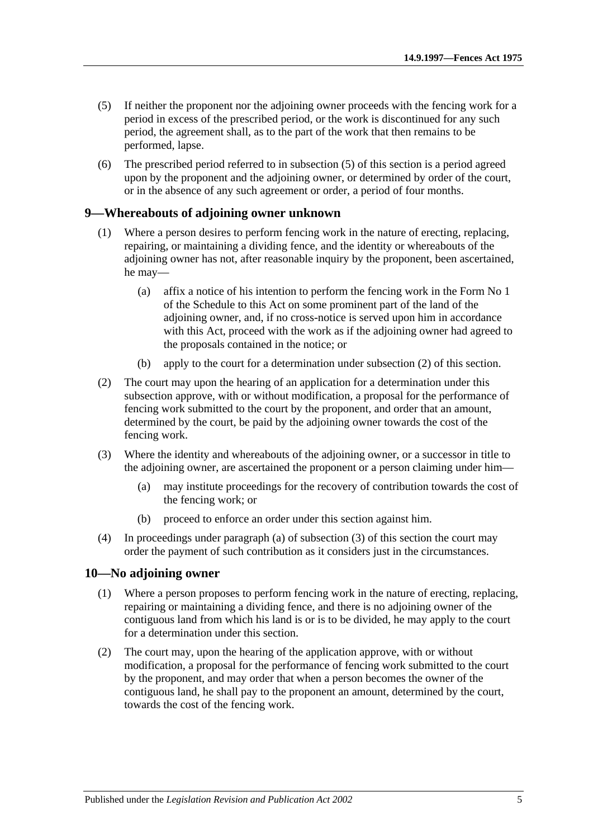- <span id="page-4-2"></span>(5) If neither the proponent nor the adjoining owner proceeds with the fencing work for a period in excess of the prescribed period, or the work is discontinued for any such period, the agreement shall, as to the part of the work that then remains to be performed, lapse.
- (6) The prescribed period referred to in [subsection](#page-4-2) (5) of this section is a period agreed upon by the proponent and the adjoining owner, or determined by order of the court, or in the absence of any such agreement or order, a period of four months.

#### <span id="page-4-0"></span>**9—Whereabouts of adjoining owner unknown**

- (1) Where a person desires to perform fencing work in the nature of erecting, replacing, repairing, or maintaining a dividing fence, and the identity or whereabouts of the adjoining owner has not, after reasonable inquiry by the proponent, been ascertained, he may—
	- (a) affix a notice of his intention to perform the fencing work in the Form No 1 of the [Schedule](#page-11-0) to this Act on some prominent part of the land of the adjoining owner, and, if no cross-notice is served upon him in accordance with this Act, proceed with the work as if the adjoining owner had agreed to the proposals contained in the notice; or
	- (b) apply to the court for a determination under [subsection](#page-4-3) (2) of this section.
- <span id="page-4-3"></span>(2) The court may upon the hearing of an application for a determination under this subsection approve, with or without modification, a proposal for the performance of fencing work submitted to the court by the proponent, and order that an amount, determined by the court, be paid by the adjoining owner towards the cost of the fencing work.
- <span id="page-4-5"></span><span id="page-4-4"></span>(3) Where the identity and whereabouts of the adjoining owner, or a successor in title to the adjoining owner, are ascertained the proponent or a person claiming under him—
	- (a) may institute proceedings for the recovery of contribution towards the cost of the fencing work; or
	- (b) proceed to enforce an order under this section against him.
- (4) In proceedings under [paragraph](#page-4-4) (a) of [subsection](#page-4-5) (3) of this section the court may order the payment of such contribution as it considers just in the circumstances.

#### <span id="page-4-1"></span>**10—No adjoining owner**

- (1) Where a person proposes to perform fencing work in the nature of erecting, replacing, repairing or maintaining a dividing fence, and there is no adjoining owner of the contiguous land from which his land is or is to be divided, he may apply to the court for a determination under this section.
- (2) The court may, upon the hearing of the application approve, with or without modification, a proposal for the performance of fencing work submitted to the court by the proponent, and may order that when a person becomes the owner of the contiguous land, he shall pay to the proponent an amount, determined by the court, towards the cost of the fencing work.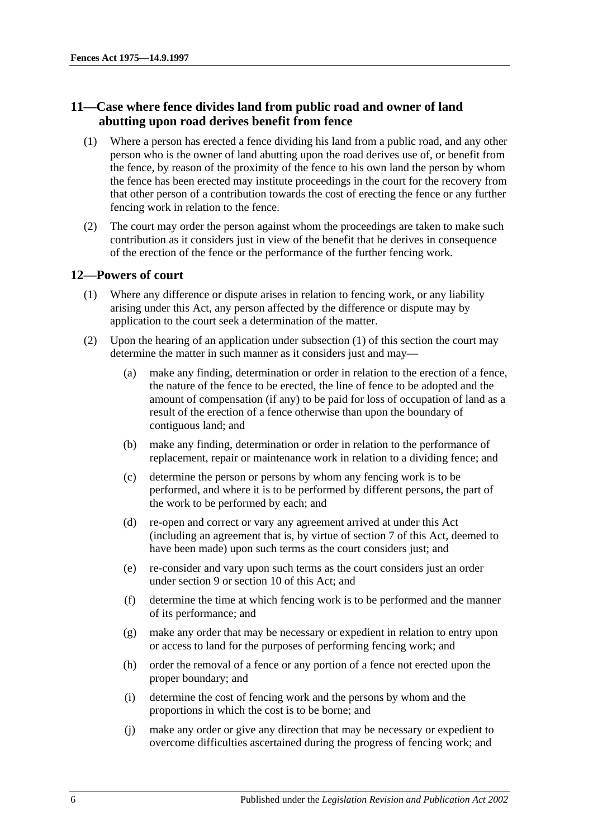# <span id="page-5-0"></span>**11—Case where fence divides land from public road and owner of land abutting upon road derives benefit from fence**

- (1) Where a person has erected a fence dividing his land from a public road, and any other person who is the owner of land abutting upon the road derives use of, or benefit from the fence, by reason of the proximity of the fence to his own land the person by whom the fence has been erected may institute proceedings in the court for the recovery from that other person of a contribution towards the cost of erecting the fence or any further fencing work in relation to the fence.
- (2) The court may order the person against whom the proceedings are taken to make such contribution as it considers just in view of the benefit that he derives in consequence of the erection of the fence or the performance of the further fencing work.

## <span id="page-5-2"></span><span id="page-5-1"></span>**12—Powers of court**

- (1) Where any difference or dispute arises in relation to fencing work, or any liability arising under this Act, any person affected by the difference or dispute may by application to the court seek a determination of the matter.
- (2) Upon the hearing of an application under [subsection](#page-5-2) (1) of this section the court may determine the matter in such manner as it considers just and may—
	- (a) make any finding, determination or order in relation to the erection of a fence, the nature of the fence to be erected, the line of fence to be adopted and the amount of compensation (if any) to be paid for loss of occupation of land as a result of the erection of a fence otherwise than upon the boundary of contiguous land; and
	- (b) make any finding, determination or order in relation to the performance of replacement, repair or maintenance work in relation to a dividing fence; and
	- (c) determine the person or persons by whom any fencing work is to be performed, and where it is to be performed by different persons, the part of the work to be performed by each; and
	- (d) re-open and correct or vary any agreement arrived at under this Act (including an agreement that is, by virtue of [section](#page-3-1) 7 of this Act, deemed to have been made) upon such terms as the court considers just; and
	- (e) re-consider and vary upon such terms as the court considers just an order under [section](#page-4-0) 9 or [section](#page-4-1) 10 of this Act; and
	- (f) determine the time at which fencing work is to be performed and the manner of its performance; and
	- (g) make any order that may be necessary or expedient in relation to entry upon or access to land for the purposes of performing fencing work; and
	- (h) order the removal of a fence or any portion of a fence not erected upon the proper boundary; and
	- (i) determine the cost of fencing work and the persons by whom and the proportions in which the cost is to be borne; and
	- (j) make any order or give any direction that may be necessary or expedient to overcome difficulties ascertained during the progress of fencing work; and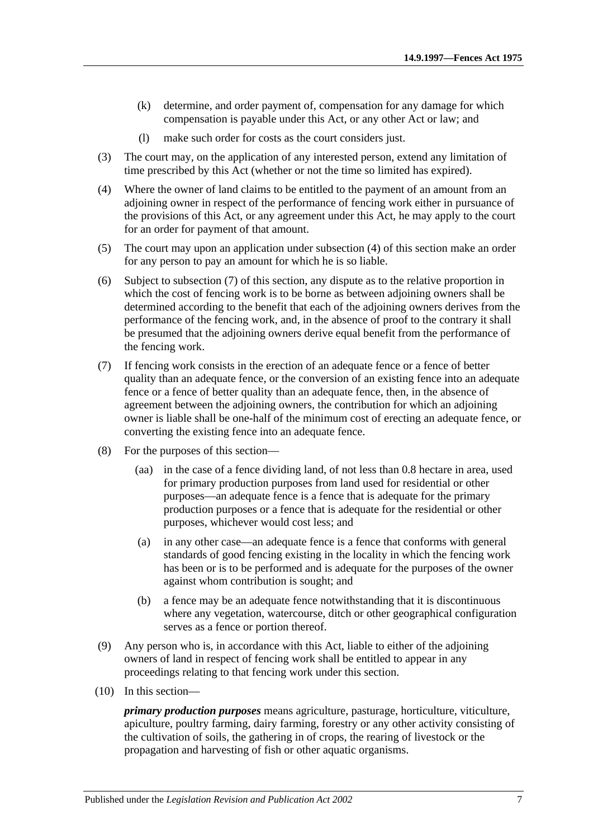- (k) determine, and order payment of, compensation for any damage for which compensation is payable under this Act, or any other Act or law; and
- (l) make such order for costs as the court considers just.
- (3) The court may, on the application of any interested person, extend any limitation of time prescribed by this Act (whether or not the time so limited has expired).
- <span id="page-6-0"></span>(4) Where the owner of land claims to be entitled to the payment of an amount from an adjoining owner in respect of the performance of fencing work either in pursuance of the provisions of this Act, or any agreement under this Act, he may apply to the court for an order for payment of that amount.
- (5) The court may upon an application under [subsection](#page-6-0) (4) of this section make an order for any person to pay an amount for which he is so liable.
- (6) Subject to [subsection](#page-6-1) (7) of this section, any dispute as to the relative proportion in which the cost of fencing work is to be borne as between adjoining owners shall be determined according to the benefit that each of the adjoining owners derives from the performance of the fencing work, and, in the absence of proof to the contrary it shall be presumed that the adjoining owners derive equal benefit from the performance of the fencing work.
- <span id="page-6-1"></span>(7) If fencing work consists in the erection of an adequate fence or a fence of better quality than an adequate fence, or the conversion of an existing fence into an adequate fence or a fence of better quality than an adequate fence, then, in the absence of agreement between the adjoining owners, the contribution for which an adjoining owner is liable shall be one-half of the minimum cost of erecting an adequate fence, or converting the existing fence into an adequate fence.
- (8) For the purposes of this section—
	- (aa) in the case of a fence dividing land, of not less than 0.8 hectare in area, used for primary production purposes from land used for residential or other purposes—an adequate fence is a fence that is adequate for the primary production purposes or a fence that is adequate for the residential or other purposes, whichever would cost less; and
	- (a) in any other case—an adequate fence is a fence that conforms with general standards of good fencing existing in the locality in which the fencing work has been or is to be performed and is adequate for the purposes of the owner against whom contribution is sought; and
	- (b) a fence may be an adequate fence notwithstanding that it is discontinuous where any vegetation, watercourse, ditch or other geographical configuration serves as a fence or portion thereof.
- (9) Any person who is, in accordance with this Act, liable to either of the adjoining owners of land in respect of fencing work shall be entitled to appear in any proceedings relating to that fencing work under this section.
- (10) In this section—

*primary production purposes* means agriculture, pasturage, horticulture, viticulture, apiculture, poultry farming, dairy farming, forestry or any other activity consisting of the cultivation of soils, the gathering in of crops, the rearing of livestock or the propagation and harvesting of fish or other aquatic organisms.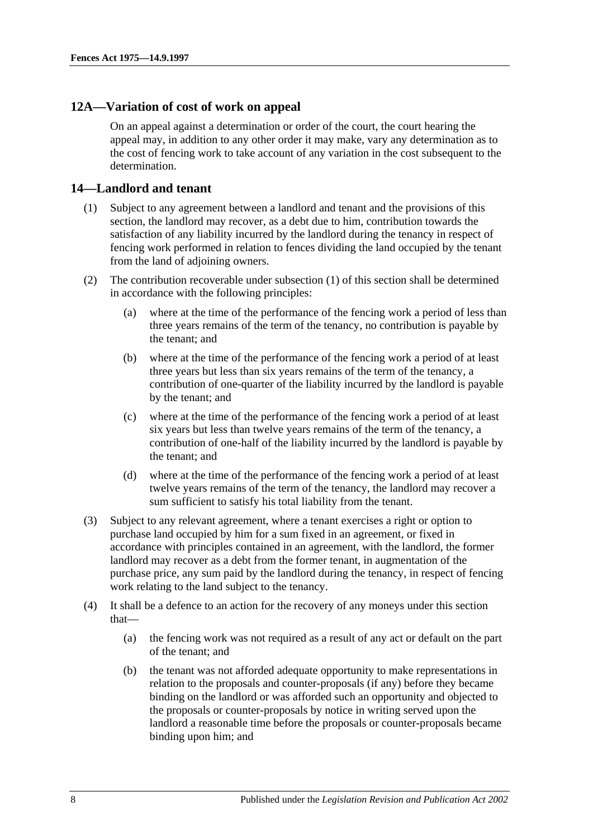### <span id="page-7-0"></span>**12A—Variation of cost of work on appeal**

On an appeal against a determination or order of the court, the court hearing the appeal may, in addition to any other order it may make, vary any determination as to the cost of fencing work to take account of any variation in the cost subsequent to the determination.

### <span id="page-7-2"></span><span id="page-7-1"></span>**14—Landlord and tenant**

- (1) Subject to any agreement between a landlord and tenant and the provisions of this section, the landlord may recover, as a debt due to him, contribution towards the satisfaction of any liability incurred by the landlord during the tenancy in respect of fencing work performed in relation to fences dividing the land occupied by the tenant from the land of adjoining owners.
- (2) The contribution recoverable under [subsection](#page-7-2) (1) of this section shall be determined in accordance with the following principles:
	- (a) where at the time of the performance of the fencing work a period of less than three years remains of the term of the tenancy, no contribution is payable by the tenant; and
	- (b) where at the time of the performance of the fencing work a period of at least three years but less than six years remains of the term of the tenancy, a contribution of one-quarter of the liability incurred by the landlord is payable by the tenant; and
	- (c) where at the time of the performance of the fencing work a period of at least six years but less than twelve years remains of the term of the tenancy, a contribution of one-half of the liability incurred by the landlord is payable by the tenant; and
	- (d) where at the time of the performance of the fencing work a period of at least twelve years remains of the term of the tenancy, the landlord may recover a sum sufficient to satisfy his total liability from the tenant.
- (3) Subject to any relevant agreement, where a tenant exercises a right or option to purchase land occupied by him for a sum fixed in an agreement, or fixed in accordance with principles contained in an agreement, with the landlord, the former landlord may recover as a debt from the former tenant, in augmentation of the purchase price, any sum paid by the landlord during the tenancy, in respect of fencing work relating to the land subject to the tenancy.
- (4) It shall be a defence to an action for the recovery of any moneys under this section that—
	- (a) the fencing work was not required as a result of any act or default on the part of the tenant; and
	- (b) the tenant was not afforded adequate opportunity to make representations in relation to the proposals and counter-proposals (if any) before they became binding on the landlord or was afforded such an opportunity and objected to the proposals or counter-proposals by notice in writing served upon the landlord a reasonable time before the proposals or counter-proposals became binding upon him; and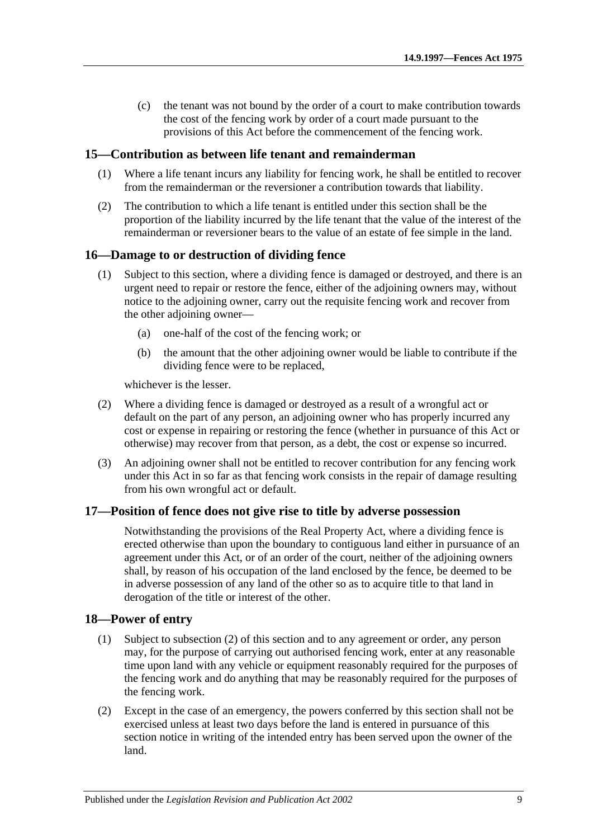(c) the tenant was not bound by the order of a court to make contribution towards the cost of the fencing work by order of a court made pursuant to the provisions of this Act before the commencement of the fencing work.

#### <span id="page-8-0"></span>**15—Contribution as between life tenant and remainderman**

- (1) Where a life tenant incurs any liability for fencing work, he shall be entitled to recover from the remainderman or the reversioner a contribution towards that liability.
- (2) The contribution to which a life tenant is entitled under this section shall be the proportion of the liability incurred by the life tenant that the value of the interest of the remainderman or reversioner bears to the value of an estate of fee simple in the land.

#### <span id="page-8-1"></span>**16—Damage to or destruction of dividing fence**

- (1) Subject to this section, where a dividing fence is damaged or destroyed, and there is an urgent need to repair or restore the fence, either of the adjoining owners may, without notice to the adjoining owner, carry out the requisite fencing work and recover from the other adjoining owner—
	- (a) one-half of the cost of the fencing work; or
	- (b) the amount that the other adjoining owner would be liable to contribute if the dividing fence were to be replaced,

whichever is the lesser.

- (2) Where a dividing fence is damaged or destroyed as a result of a wrongful act or default on the part of any person, an adjoining owner who has properly incurred any cost or expense in repairing or restoring the fence (whether in pursuance of this Act or otherwise) may recover from that person, as a debt, the cost or expense so incurred.
- (3) An adjoining owner shall not be entitled to recover contribution for any fencing work under this Act in so far as that fencing work consists in the repair of damage resulting from his own wrongful act or default.

#### <span id="page-8-2"></span>**17—Position of fence does not give rise to title by adverse possession**

Notwithstanding the provisions of the Real Property Act, where a dividing fence is erected otherwise than upon the boundary to contiguous land either in pursuance of an agreement under this Act, or of an order of the court, neither of the adjoining owners shall, by reason of his occupation of the land enclosed by the fence, be deemed to be in adverse possession of any land of the other so as to acquire title to that land in derogation of the title or interest of the other.

#### <span id="page-8-3"></span>**18—Power of entry**

- (1) Subject to [subsection](#page-8-4) (2) of this section and to any agreement or order, any person may, for the purpose of carrying out authorised fencing work, enter at any reasonable time upon land with any vehicle or equipment reasonably required for the purposes of the fencing work and do anything that may be reasonably required for the purposes of the fencing work.
- <span id="page-8-4"></span>(2) Except in the case of an emergency, the powers conferred by this section shall not be exercised unless at least two days before the land is entered in pursuance of this section notice in writing of the intended entry has been served upon the owner of the land.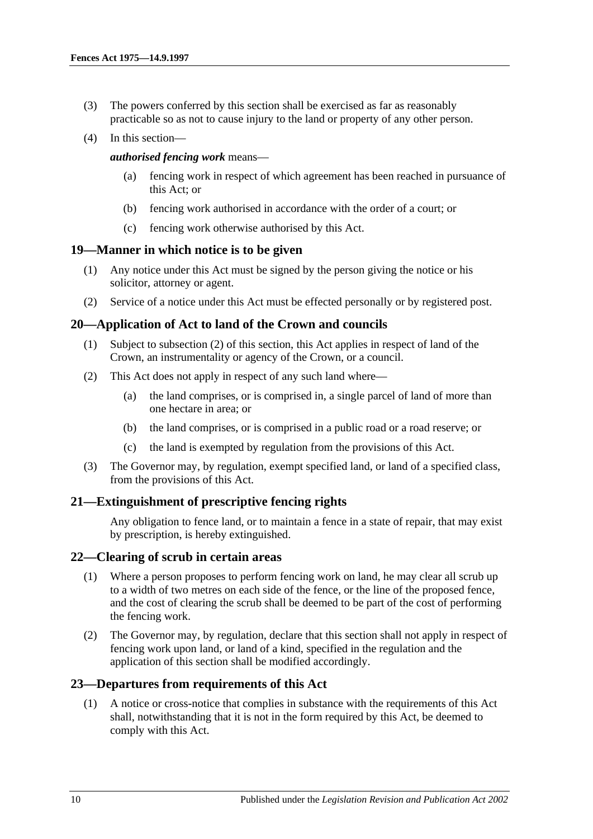- (3) The powers conferred by this section shall be exercised as far as reasonably practicable so as not to cause injury to the land or property of any other person.
- (4) In this section—

*authorised fencing work* means—

- (a) fencing work in respect of which agreement has been reached in pursuance of this Act; or
- (b) fencing work authorised in accordance with the order of a court; or
- (c) fencing work otherwise authorised by this Act.

### <span id="page-9-0"></span>**19—Manner in which notice is to be given**

- (1) Any notice under this Act must be signed by the person giving the notice or his solicitor, attorney or agent.
- (2) Service of a notice under this Act must be effected personally or by registered post.

## <span id="page-9-1"></span>**20—Application of Act to land of the Crown and councils**

- (1) Subject to [subsection](#page-9-5) (2) of this section, this Act applies in respect of land of the Crown, an instrumentality or agency of the Crown, or a council.
- <span id="page-9-5"></span>(2) This Act does not apply in respect of any such land where—
	- (a) the land comprises, or is comprised in, a single parcel of land of more than one hectare in area; or
	- (b) the land comprises, or is comprised in a public road or a road reserve; or
	- (c) the land is exempted by regulation from the provisions of this Act.
- (3) The Governor may, by regulation, exempt specified land, or land of a specified class, from the provisions of this Act.

## <span id="page-9-2"></span>**21—Extinguishment of prescriptive fencing rights**

Any obligation to fence land, or to maintain a fence in a state of repair, that may exist by prescription, is hereby extinguished.

#### <span id="page-9-3"></span>**22—Clearing of scrub in certain areas**

- (1) Where a person proposes to perform fencing work on land, he may clear all scrub up to a width of two metres on each side of the fence, or the line of the proposed fence, and the cost of clearing the scrub shall be deemed to be part of the cost of performing the fencing work.
- (2) The Governor may, by regulation, declare that this section shall not apply in respect of fencing work upon land, or land of a kind, specified in the regulation and the application of this section shall be modified accordingly.

## <span id="page-9-4"></span>**23—Departures from requirements of this Act**

(1) A notice or cross-notice that complies in substance with the requirements of this Act shall, notwithstanding that it is not in the form required by this Act, be deemed to comply with this Act.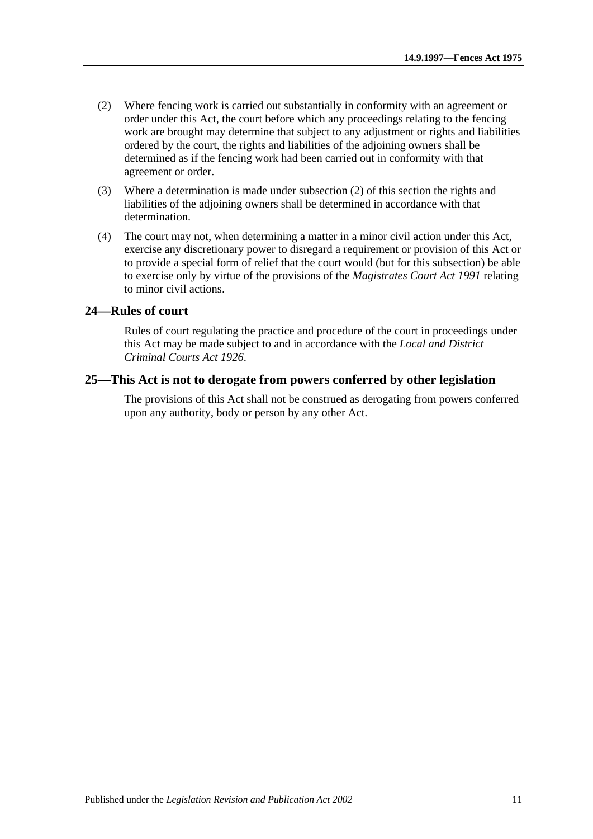- <span id="page-10-2"></span>(2) Where fencing work is carried out substantially in conformity with an agreement or order under this Act, the court before which any proceedings relating to the fencing work are brought may determine that subject to any adjustment or rights and liabilities ordered by the court, the rights and liabilities of the adjoining owners shall be determined as if the fencing work had been carried out in conformity with that agreement or order.
- (3) Where a determination is made under [subsection](#page-10-2) (2) of this section the rights and liabilities of the adjoining owners shall be determined in accordance with that determination.
- (4) The court may not, when determining a matter in a minor civil action under this Act, exercise any discretionary power to disregard a requirement or provision of this Act or to provide a special form of relief that the court would (but for this subsection) be able to exercise only by virtue of the provisions of the *[Magistrates Court Act](http://www.legislation.sa.gov.au/index.aspx?action=legref&type=act&legtitle=Magistrates%20Court%20Act%201991) 1991* relating to minor civil actions.

### <span id="page-10-0"></span>**24—Rules of court**

Rules of court regulating the practice and procedure of the court in proceedings under this Act may be made subject to and in accordance with the *[Local and District](http://www.legislation.sa.gov.au/index.aspx?action=legref&type=act&legtitle=Local%20and%20District%20Criminal%20Courts%20Act%201926)  [Criminal Courts Act](http://www.legislation.sa.gov.au/index.aspx?action=legref&type=act&legtitle=Local%20and%20District%20Criminal%20Courts%20Act%201926) 1926*.

### <span id="page-10-1"></span>**25—This Act is not to derogate from powers conferred by other legislation**

The provisions of this Act shall not be construed as derogating from powers conferred upon any authority, body or person by any other Act.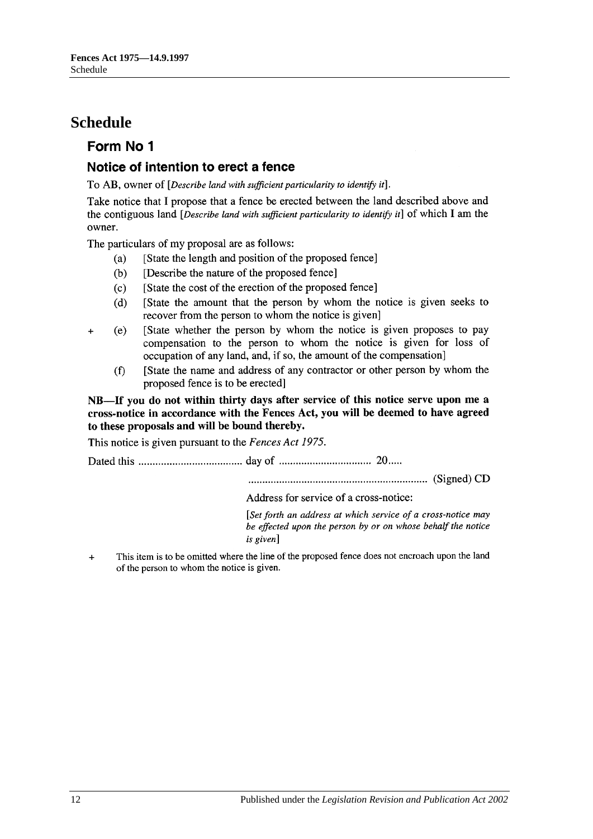# <span id="page-11-0"></span>**Schedule**

# Form No 1

# Notice of intention to erect a fence

To AB, owner of *Describe land with sufficient particularity to identify it*].

Take notice that I propose that a fence be erected between the land described above and the contiguous land  $[Describe]$  land with sufficient particularity to identify it] of which I am the owner.

The particulars of my proposal are as follows:

- [State the length and position of the proposed fence]  $(a)$
- [Describe the nature of the proposed fence]  $(b)$
- $(c)$ [State the cost of the erection of the proposed fence]
- IState the amount that the person by whom the notice is given seeks to  $(d)$ recover from the person to whom the notice is given]
- [State whether the person by whom the notice is given proposes to pay  $(e)$  $\ddot{+}$ compensation to the person to whom the notice is given for loss of occupation of any land, and, if so, the amount of the compensation
	- $(f)$ [State the name and address of any contractor or other person by whom the proposed fence is to be erected]

NB-If you do not within thirty days after service of this notice serve upon me a cross-notice in accordance with the Fences Act, you will be deemed to have agreed to these proposals and will be bound thereby.

This notice is given pursuant to the Fences Act 1975.

Address for service of a cross-notice:

[Set forth an address at which service of a cross-notice may be effected upon the person by or on whose behalf the notice is given]

This item is to be omitted where the line of the proposed fence does not encroach upon the land  $\overline{+}$ of the person to whom the notice is given.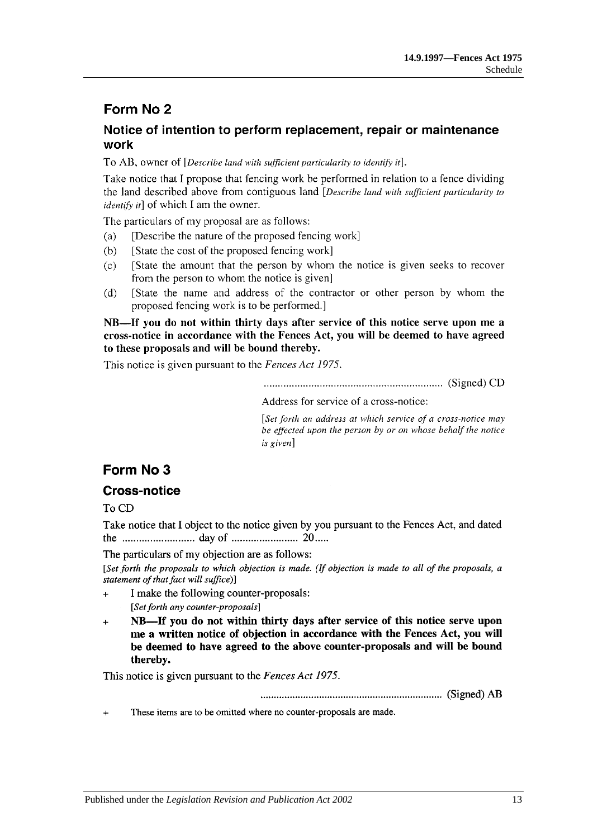# Form No 2

# Notice of intention to perform replacement, repair or maintenance work

To AB, owner of *Describe land with sufficient particularity to identify it*].

Take notice that I propose that fencing work be performed in relation to a fence dividing the land described above from contiguous land *Describe land with sufficient particularity to identify it* of which I am the owner.

The particulars of my proposal are as follows:

- [Describe the nature of the proposed fencing work]  $(a)$
- $(b)$ [State the cost of the proposed fencing work]
- [State the amount that the person by whom the notice is given seeks to recover  $(c)$ from the person to whom the notice is given]
- [State the name and address of the contractor or other person by whom the  $(d)$ proposed fencing work is to be performed.]

NB—If you do not within thirty days after service of this notice serve upon me a cross-notice in accordance with the Fences Act, you will be deemed to have agreed to these proposals and will be bound thereby.

This notice is given pursuant to the Fences Act 1975.

Address for service of a cross-notice:

[Set forth an address at which service of a cross-notice may be effected upon the person by or on whose behalf the notice is given]

# Form No 3

# **Cross-notice**

To CD

Take notice that I object to the notice given by you pursuant to the Fences Act, and dated 

The particulars of my objection are as follows:

[Set forth the proposals to which objection is made. (If objection is made to all of the proposals, a statement of that fact will suffice)]

- I make the following counter-proposals:  $\ddot{}$ [Set forth any counter-proposals]
- NB—If you do not within thirty days after service of this notice serve upon  $\ddotmark$ me a written notice of objection in accordance with the Fences Act, you will be deemed to have agreed to the above counter-proposals and will be bound thereby.

This notice is given pursuant to the Fences Act 1975.

These items are to be omitted where no counter-proposals are made.  $\ddot{}$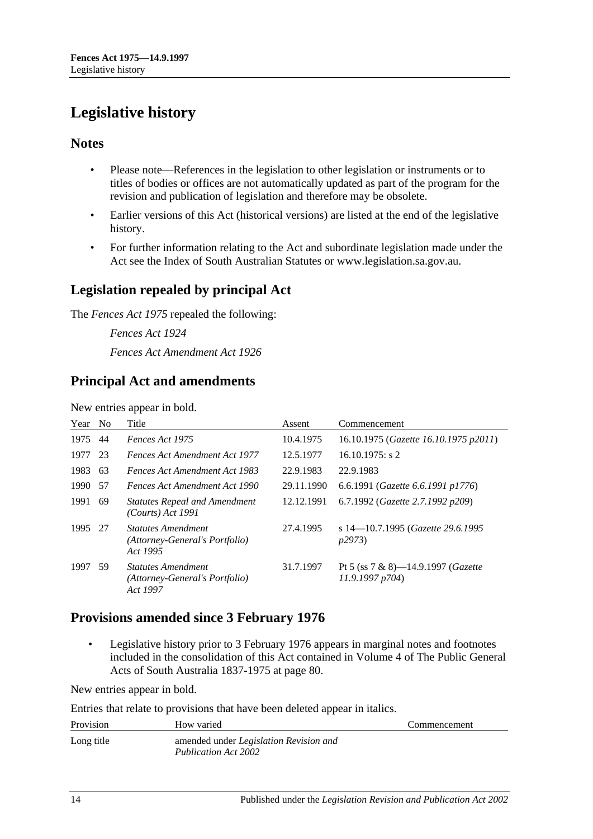# <span id="page-13-0"></span>**Legislative history**

## **Notes**

- Please note—References in the legislation to other legislation or instruments or to titles of bodies or offices are not automatically updated as part of the program for the revision and publication of legislation and therefore may be obsolete.
- Earlier versions of this Act (historical versions) are listed at the end of the legislative history.
- For further information relating to the Act and subordinate legislation made under the Act see the Index of South Australian Statutes or www.legislation.sa.gov.au.

# **Legislation repealed by principal Act**

The *Fences Act 1975* repealed the following:

*Fences Act 1924 Fences Act Amendment Act 1926*

# **Principal Act and amendments**

New entries appear in bold.

| Year | N <sub>o</sub> | Title                                                                   | Assent     | Commencement                                                 |
|------|----------------|-------------------------------------------------------------------------|------------|--------------------------------------------------------------|
| 1975 | 44             | Fences Act 1975                                                         | 10.4.1975  | 16.10.1975 (Gazette 16.10.1975 p2011)                        |
| 1977 | 23             | <b>Fences Act Amendment Act 1977</b>                                    | 12.5.1977  | $16.10.1975$ : s 2                                           |
| 1983 | 63             | Fences Act Amendment Act 1983                                           | 22.9.1983  | 22.9.1983                                                    |
| 1990 | 57             | Fences Act Amendment Act 1990                                           | 29.11.1990 | 6.6.1991 (Gazette 6.6.1991 p1776)                            |
| 1991 | 69             | <b>Statutes Repeal and Amendment</b><br>(Courts) Act 1991               | 12.12.1991 | 6.7.1992 (Gazette 2.7.1992 p209)                             |
| 1995 | -27            | <b>Statutes Amendment</b><br>(Attorney-General's Portfolio)<br>Act 1995 | 27.4.1995  | s 14-10.7.1995 (Gazette 29.6.1995<br>p2973                   |
| 1997 | 59             | <b>Statutes Amendment</b><br>(Attorney-General's Portfolio)<br>Act 1997 | 31.7.1997  | Pt 5 (ss 7 & 8)—14.9.1997 ( <i>Gazette</i><br>11.9.1997 p704 |

# **Provisions amended since 3 February 1976**

• Legislative history prior to 3 February 1976 appears in marginal notes and footnotes included in the consolidation of this Act contained in Volume 4 of The Public General Acts of South Australia 1837-1975 at page 80.

New entries appear in bold.

Entries that relate to provisions that have been deleted appear in italics.

| Provision  | How varied                                                            | Commencement |
|------------|-----------------------------------------------------------------------|--------------|
| Long title | amended under <i>Legislation Revision and</i><br>Publication Act 2002 |              |